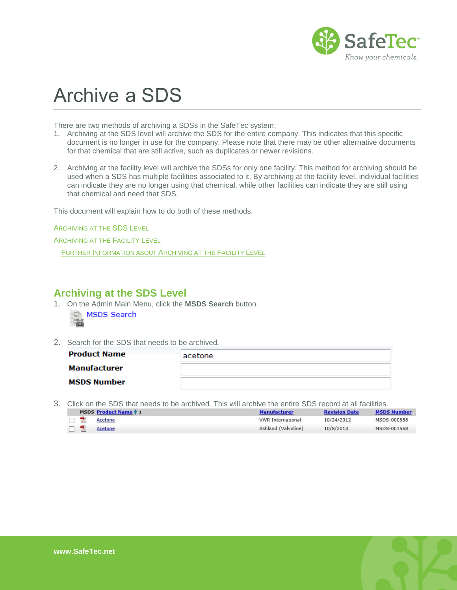

## Archive a SDS

There are two methods of archiving a SDSs in the SafeTec system:

- 1. Archiving at the SDS level will archive the SDS for the entire company. This indicates that this specific document is no longer in use for the company. Please note that there may be other alternative documents for that chemical that are still active, such as duplicates or newer revisions.
- 2. Archiving at the facility level will archive the SDSs for only one facility. This method for archiving should be used when a SDS has multiple facilities associated to it. By archiving at the facility level, individual facilities can indicate they are no longer using that chemical, while other facilities can indicate they are still using that chemical and need that SDS.

This document will explain how to do both of these methods.

A[RCHIVING AT THE](#page-0-0) SDS LEVEL

A[RCHIVING AT THE](#page-1-0) FACILITY LEVEL

FURTHER I[NFORMATION ABOUT](#page-2-0) ARCHIVING AT THE FACILITY LEVEL

## <span id="page-0-0"></span>**Archiving at the SDS Level**

- 1. On the Admin Main Menu, click the **MSDS Search** button. MSDS Search  $-1020$
- 2. Search for the SDS that needs to be archived.

| <b>Product Name</b> | acetone |
|---------------------|---------|
| <b>Manufacturer</b> |         |
| <b>MSDS Number</b>  |         |

3. Click on the SDS that needs to be archived. This will archive the entire SDS record at all facilities.

|  | MSDS Product Name 1 | <b>Manufacturer</b>      | <b>Revision Date</b> | <b>MSDS Number</b> |
|--|---------------------|--------------------------|----------------------|--------------------|
|  | Acetone             | <b>VWR International</b> | 10/24/2012           | MSDS-000588        |
|  | Acetone             | Ashland (Valvoline)      | 10/8/2013            | MSDS-001568        |

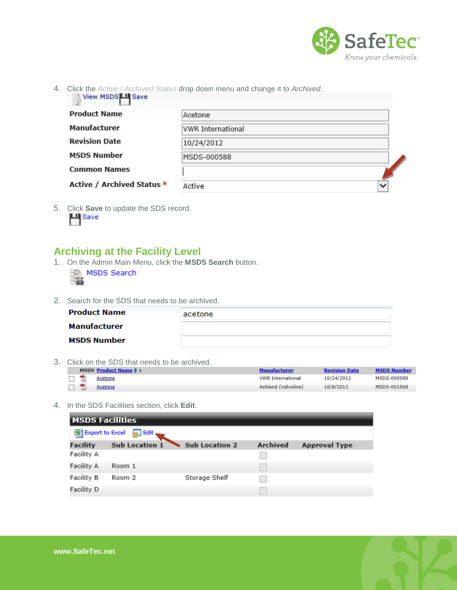

4. Click the *Active / Archived Status* drop down menu and change it to *Archived*.

| <b>Product Name</b>               | Acetone                  |   |
|-----------------------------------|--------------------------|---|
| <b>Manufacturer</b>               | <b>VWR International</b> |   |
| <b>Revision Date</b>              | 10/24/2012               |   |
| <b>MSDS Number</b>                | MSDS-000588              |   |
| <b>Common Names</b>               |                          |   |
| <b>Active / Archived Status *</b> | Active                   | ◡ |

5. Click **Save** to update the SDS record.

## <span id="page-1-0"></span>**Archiving at the Facility Level**

1. On the Admin Main Menu, click the **MSDS Search** button.

|  | MSDS Search |
|--|-------------|
|  |             |

2. Search for the SDS that needs to be archived.

| <b>Product Name</b> | acetone |
|---------------------|---------|
| Manufacturer        |         |
| <b>MSDS Number</b>  |         |

3. Click on the SDS that needs to be archived.

|              | MSDS Product Name 1 | <b>Manufacturer</b>      | <b>Revision Date</b> | <b>MSDS Number</b> |
|--------------|---------------------|--------------------------|----------------------|--------------------|
| <b>TABLE</b> | Acetone             | <b>VWR</b> International | 10/24/2012           | MSDS-000588        |
|              | Acetone             | Ashland (Valvoline)      | 10/8/2013            | MSDS-001568        |

4. In the SDS Facilities section, click **Edit**.

| <b>MSDS Facilities</b> |                                      |                       |                 |                      |  |  |  |
|------------------------|--------------------------------------|-----------------------|-----------------|----------------------|--|--|--|
|                        | 图 Export to Excel<br>$\sqrt{3}$ Edit |                       |                 |                      |  |  |  |
| <b>Facility</b>        | <b>Sub Location 1</b>                | <b>Sub Location 2</b> | <b>Archived</b> | <b>Approval Type</b> |  |  |  |
| Facility A             |                                      |                       |                 |                      |  |  |  |
| Facility A             | Room 1                               |                       |                 |                      |  |  |  |
| Facility B             | Room 2                               | Storage Shelf         |                 |                      |  |  |  |
| Facility D             |                                      |                       |                 |                      |  |  |  |

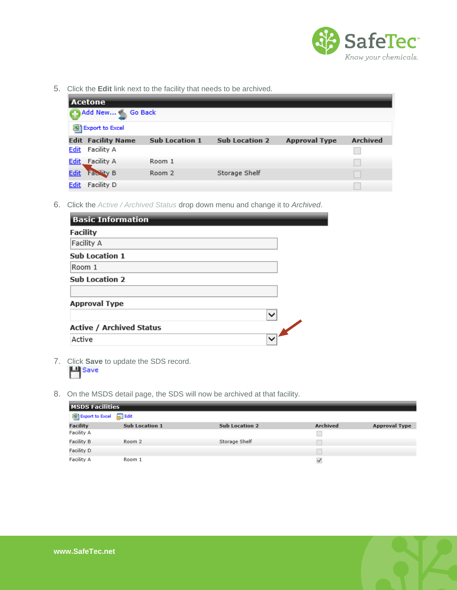

5. Click the **Edit** link next to the facility that needs to be archived.

| <b>Acetone</b>                   |                       |                       |                      |                 |  |  |  |
|----------------------------------|-----------------------|-----------------------|----------------------|-----------------|--|--|--|
|                                  | Add New Go Back       |                       |                      |                 |  |  |  |
| 图 Export to Excel                |                       |                       |                      |                 |  |  |  |
| <b>Edit Facility Name</b>        | <b>Sub Location 1</b> | <b>Sub Location 2</b> | <b>Approval Type</b> | <b>Archived</b> |  |  |  |
| <b>Edit</b><br>Facility A        |                       |                       |                      |                 |  |  |  |
| Facility A<br><u>Edit</u>        | Room 1                |                       |                      |                 |  |  |  |
| <b>Facility B</b><br><b>Edit</b> | Room 2                | Storage Shelf         |                      |                 |  |  |  |
| Facility D<br><b>Edit</b>        |                       |                       |                      |                 |  |  |  |

6. Click the *Active / Archived Status* drop down menu and change it to *Archived*.

| <b>Basic Information</b>        |              |
|---------------------------------|--------------|
| <b>Facility</b>                 |              |
| Facility A                      |              |
| <b>Sub Location 1</b>           |              |
| Room 1                          |              |
| <b>Sub Location 2</b>           |              |
|                                 |              |
| <b>Approval Type</b>            |              |
|                                 | $\check{ }$  |
| <b>Active / Archived Status</b> |              |
| Active                          | $\checkmark$ |

- 7. Click **Save** to update the SDS record. **凹** Save
- 8. On the MSDS detail page, the SDS will now be archived at that facility.

| <b>MSDS Facilities</b>         |                       |                       |                 |                      |  |  |
|--------------------------------|-----------------------|-----------------------|-----------------|----------------------|--|--|
| Export to Excel <b>So</b> Edit |                       |                       |                 |                      |  |  |
| <b>Facility</b>                | <b>Sub Location 1</b> | <b>Sub Location 2</b> | <b>Archived</b> | <b>Approval Type</b> |  |  |
| Facility A                     |                       |                       |                 |                      |  |  |
| Facility B                     | Room 2                | Storage Shelf         |                 |                      |  |  |
| Facility D                     |                       |                       |                 |                      |  |  |
| Facility A                     | Room 1                |                       | $\checkmark$    |                      |  |  |

<span id="page-2-0"></span>